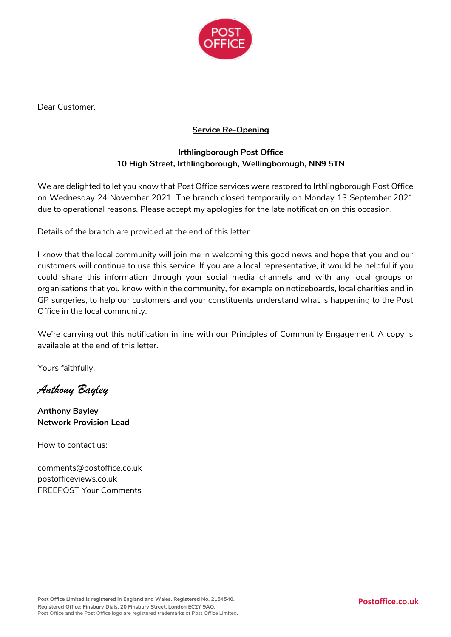

Dear Customer,

## **Service Re-Opening**

## **Irthlingborough Post Office 10 High Street, Irthlingborough, Wellingborough, NN9 5TN**

We are delighted to let you know that Post Office services were restored to Irthlingborough Post Office on Wednesday 24 November 2021. The branch closed temporarily on Monday 13 September 2021 due to operational reasons. Please accept my apologies for the late notification on this occasion.

Details of the branch are provided at the end of this letter.

I know that the local community will join me in welcoming this good news and hope that you and our customers will continue to use this service. If you are a local representative, it would be helpful if you could share this information through your social media channels and with any local groups or organisations that you know within the community, for example on noticeboards, local charities and in GP surgeries, to help our customers and your constituents understand what is happening to the Post Office in the local community.

We're carrying out this notification in line with our Principles of Community Engagement. A copy is available at the end of this letter.

Yours faithfully,

*Anthony Bayley*

**Anthony Bayley Network Provision Lead**

How to contact us:

comments@postoffice.co.uk postofficeviews.co.uk FREEPOST Your Comments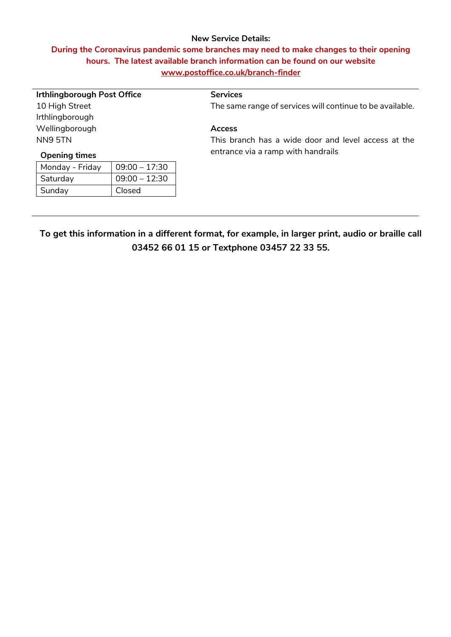#### **New Service Details:**

# **During the Coronavirus pandemic some branches may need to make changes to their opening hours. The latest available branch information can be found on our website [www.postoffice.co.uk/branch-finder](http://www.postoffice.co.uk/branch-finder)**

| <b>Irthlingborough Post Office</b> |                 | <b>Services</b>                                           |
|------------------------------------|-----------------|-----------------------------------------------------------|
| 10 High Street                     |                 | The same range of services will continue to be available. |
| Irthlingborough                    |                 |                                                           |
| Wellingborough                     |                 | <b>Access</b>                                             |
| NN9 5TN                            |                 | This branch has a wide door and level access at the       |
| <b>Opening times</b>               |                 | entrance via a ramp with handrails                        |
| Monday - Friday                    | $09:00 - 17:30$ |                                                           |
| Saturday                           | $09:00 - 12:30$ |                                                           |
| Sunday                             | Closed          |                                                           |
|                                    |                 |                                                           |
|                                    |                 |                                                           |
|                                    |                 |                                                           |

**To get this information in a different format, for example, in larger print, audio or braille call 03452 66 01 15 or Textphone 03457 22 33 55.**